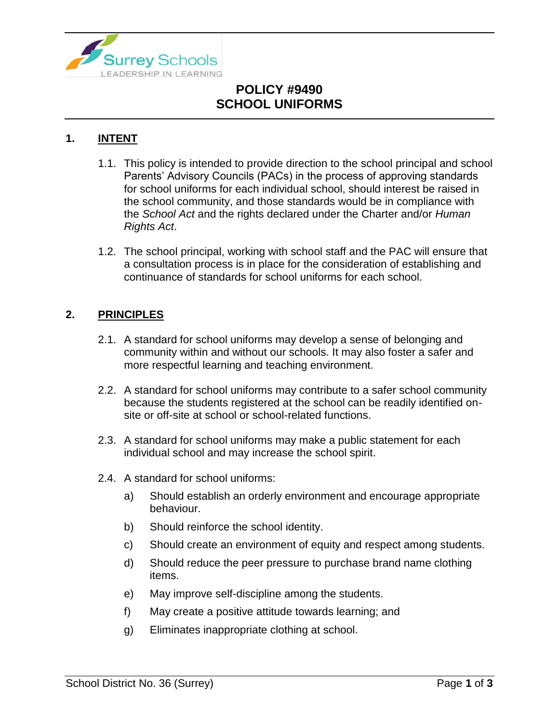

# **POLICY #9490 SCHOOL UNIFORMS**

### **1. INTENT**

- 1.1. This policy is intended to provide direction to the school principal and school Parents' Advisory Councils (PACs) in the process of approving standards for school uniforms for each individual school, should interest be raised in the school community, and those standards would be in compliance with the *School Act* and the rights declared under the Charter and/or *Human Rights Act*.
- 1.2. The school principal, working with school staff and the PAC will ensure that a consultation process is in place for the consideration of establishing and continuance of standards for school uniforms for each school.

### **2. PRINCIPLES**

- 2.1. A standard for school uniforms may develop a sense of belonging and community within and without our schools. It may also foster a safer and more respectful learning and teaching environment.
- 2.2. A standard for school uniforms may contribute to a safer school community because the students registered at the school can be readily identified onsite or off-site at school or school-related functions.
- 2.3. A standard for school uniforms may make a public statement for each individual school and may increase the school spirit.
- 2.4. A standard for school uniforms:
	- a) Should establish an orderly environment and encourage appropriate behaviour.
	- b) Should reinforce the school identity.
	- c) Should create an environment of equity and respect among students.
	- d) Should reduce the peer pressure to purchase brand name clothing items.
	- e) May improve self-discipline among the students.
	- f) May create a positive attitude towards learning; and
	- g) Eliminates inappropriate clothing at school.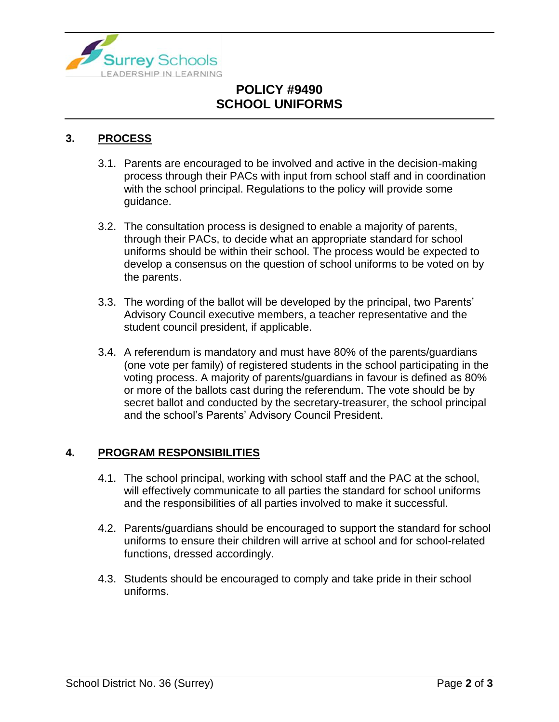

# **POLICY #9490 SCHOOL UNIFORMS**

### **3. PROCESS**

- 3.1. Parents are encouraged to be involved and active in the decision-making process through their PACs with input from school staff and in coordination with the school principal. Regulations to the policy will provide some guidance.
- 3.2. The consultation process is designed to enable a majority of parents, through their PACs, to decide what an appropriate standard for school uniforms should be within their school. The process would be expected to develop a consensus on the question of school uniforms to be voted on by the parents.
- 3.3. The wording of the ballot will be developed by the principal, two Parents' Advisory Council executive members, a teacher representative and the student council president, if applicable.
- 3.4. A referendum is mandatory and must have 80% of the parents/guardians (one vote per family) of registered students in the school participating in the voting process. A majority of parents/guardians in favour is defined as 80% or more of the ballots cast during the referendum. The vote should be by secret ballot and conducted by the secretary-treasurer, the school principal and the school's Parents' Advisory Council President.

#### **4. PROGRAM RESPONSIBILITIES**

- 4.1. The school principal, working with school staff and the PAC at the school, will effectively communicate to all parties the standard for school uniforms and the responsibilities of all parties involved to make it successful.
- 4.2. Parents/guardians should be encouraged to support the standard for school uniforms to ensure their children will arrive at school and for school-related functions, dressed accordingly.
- 4.3. Students should be encouraged to comply and take pride in their school uniforms.